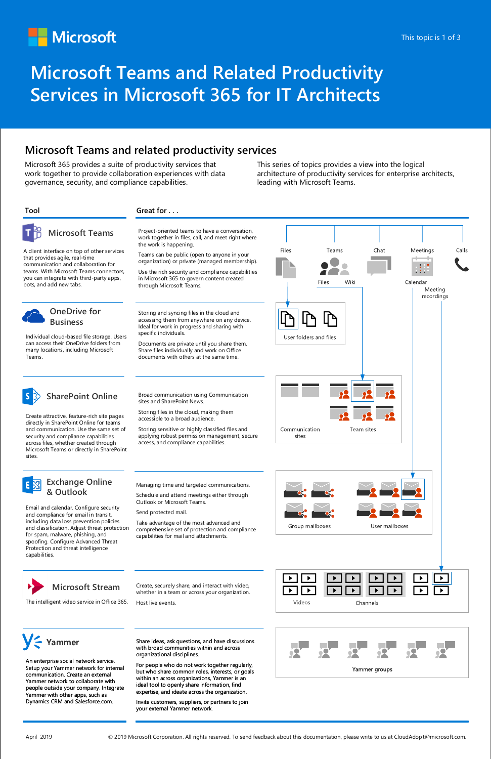### **Microsoft Teams and related productivity services**

# **Microsoft Teams and Related Productivity Services in Microsoft 365 for IT Architects**

## Microsoft

### **Microsoft Teams**

### **OneDrive for Business**

**SharePoint Online**



Microsoft 365 provides a suite of productivity services that work together to provide collaboration experiences with data governance, security, and compliance capabilities.

A client interface on top of other services that provides agile, real-time communication and collaboration for teams. With Microsoft Teams connectors, you can integrate with third-party apps, bots, and add new tabs.



Storing and syncing files in the cloud and accessing them from anywhere on any device. Ideal for work in progress and sharing with specific individuals.

Documents are private until you share them. Share files individually and work on Office documents with others at the same time.

### **Tool Great for . . .**

Project-oriented teams to have a conversation, work together in files, call, and meet right where the work is happening.

Teams can be public (open to anyone in your organization) or private (managed membership).

Use the rich security and compliance capabilities in Microsoft 365 to govern content created through Microsoft Teams.

Individual cloud-based file storage. Users can access their OneDrive folders from many locations, including Microsoft Teams.

Create attractive, feature-rich site pages directly in SharePoint Online for teams

and communication. Use the same set of security and compliance capabilities across files, whether created through Microsoft Teams or directly in SharePoint

sites.



Storing files in the cloud, making them accessible to a broad audience.

Storing sensitive or highly classified files and applying robust permission management, secure access, and compliance capabilities.



Email and calendar. Configure security and compliance for email in transit, including data loss prevention policies and classification. Adjust threat protection for spam, malware, phishing, and spoofing. Configure Advanced Threat Protection and threat intelligence capabilities.

Managing time and targeted communications.

Schedule and attend meetings either through Outlook or Microsoft Teams.

Send protected mail.

Take advantage of the most advanced and comprehensive set of protection and compliance capabilities for mail and attachments.

This series of topics provides a view into the logical architecture of productivity services for enterprise architects, leading with Microsoft Teams.



The intelligent video service in Office 365. Host live events.



Create, securely share, and interact with video, whether in a team or across your organization.





An enterprise social network service. Setup your Yammer network for internal communication. Create an external Yammer network to collaborate with people outside your company. Integrate Yammer with other apps, such as Dynamics CRM and Salesforce.com.

Share ideas, ask questions, and have discussions with broad communities within and across organizational disciplines.

For people who do not work together regularly, but who share common roles, interests, or goals within an across organizations, Yammer is an ideal tool to openly share information, find expertise, and ideate across the organization.

Invite customers, suppliers, or partners to join your external Yammer network.



April 2019 **Exercisc Constant Conferent Corporation.** All rights reserved. To send feedback about this documentation, please write to us at CloudAdopt@microsoft.com.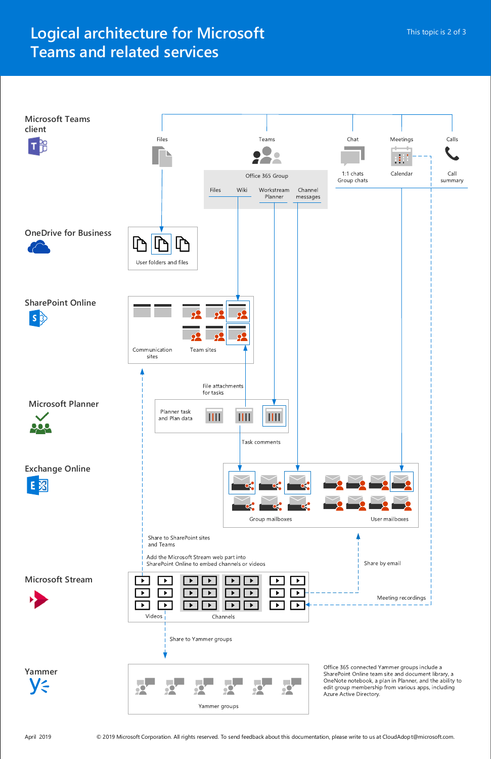## **Logical architecture for Microsoft Teams and related services**

**Yammer VE** 



Office 365 connected Yammer groups include a SharePoint Online team site and document library, a OneNote notebook, a plan in Planner, and the ability to edit group membership from various apps, including Azure Active Directory.

April 2019 **Subset Columbs April 2019** O 2019 Microsoft Corporation. All rights reserved. To send feedback about this documentation, please write to us at CloudAdopt@microsoft.com.